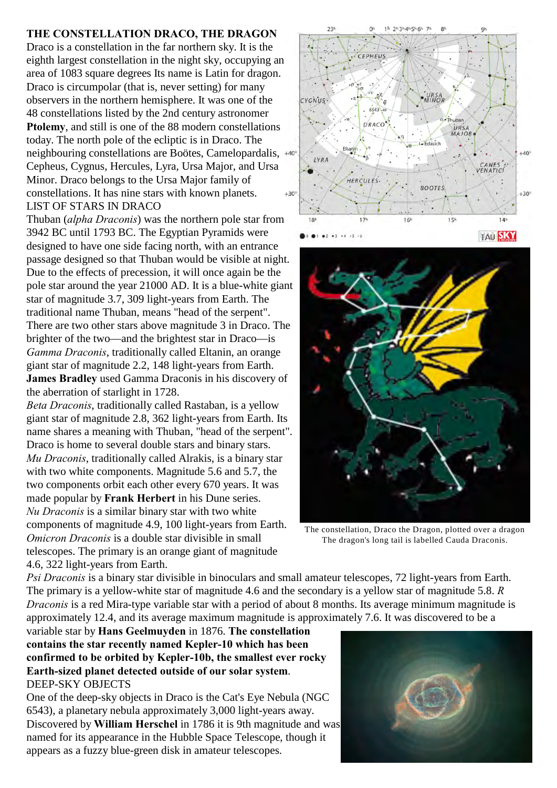## **THE CONSTELLATION DRACO, THE DRAGON**

Draco is a constellation in the far northern sky. It is the eighth largest constellation in the night sky, occupying an area of 1083 square degrees Its name is Latin for dragon. Draco is circumpolar (that is, never setting) for many observers in the northern hemisphere. It was one of the 48 constellations listed by the 2nd century astronomer **Ptolemy**, and still is one of the 88 modern constellations today. The north pole of the ecliptic is in Draco. The neighbouring constellations are Boötes, Camelopardalis, Cepheus, Cygnus, Hercules, Lyra, Ursa Major, and Ursa Minor. Draco belongs to the Ursa Major family of constellations. It has nine stars with known planets. LIST OF STARS IN DRACO

Thuban (*alpha Draconis*) was the northern pole star from 3942 BC until 1793 BC. The Egyptian Pyramids were designed to have one side facing north, with an entrance passage designed so that Thuban would be visible at night. Due to the effects of precession, it will once again be the pole star around the year 21000 AD. It is a blue-white giant star of magnitude 3.7, 309 light-years from Earth. The traditional name Thuban, means "head of the serpent". There are two other stars above magnitude 3 in Draco. The brighter of the two—and the brightest star in Draco—is *Gamma Draconis*, traditionally called Eltanin, an orange giant star of magnitude 2.2, 148 light-years from Earth. **James Bradley** used Gamma Draconis in his discovery of the aberration of starlight in 1728.

*Beta Draconis*, traditionally called Rastaban, is a yellow giant star of magnitude 2.8, 362 light-years from Earth. Its name shares a meaning with Thuban, "head of the serpent". Draco is home to several double stars and binary stars. *Mu Draconis*, traditionally called Alrakis, is a binary star with two white components. Magnitude 5.6 and 5.7, the two components orbit each other every 670 years. It was made popular by **Frank Herbert** in his Dune series. *Nu Draconis* is a similar binary star with two white components of magnitude 4.9, 100 light-years from Earth. *Omicron Draconis* is a double star divisible in small telescopes. The primary is an orange giant of magnitude 4.6, 322 light-years from Earth.





The constellation, Draco the Dragon, plotted over a dragon The dragon's long tail is labelled Cauda Draconis.

*Psi Draconis* is a binary star divisible in binoculars and small amateur telescopes, 72 light-years from Earth. The primary is a yellow-white star of magnitude 4.6 and the secondary is a yellow star of magnitude 5.8. *R Draconis* is a red Mira-type variable star with a period of about 8 months. Its average minimum magnitude is approximately 12.4, and its average maximum magnitude is approximately 7.6. It was discovered to be a

variable star by **Hans Geelmuyden** in 1876. **The constellation contains the star recently named Kepler-10 which has been confirmed to be orbited by Kepler-10b, the smallest ever rocky Earth-sized planet detected outside of our solar system**. DEEP-SKY OBJECTS

One of the deep-sky objects in Draco is the Cat's Eye Nebula (NGC 6543), a planetary nebula approximately 3,000 light-years away. Discovered by **William Herschel** in 1786 it is 9th magnitude and was named for its appearance in the Hubble Space Telescope, though it appears as a fuzzy blue-green disk in amateur telescopes.